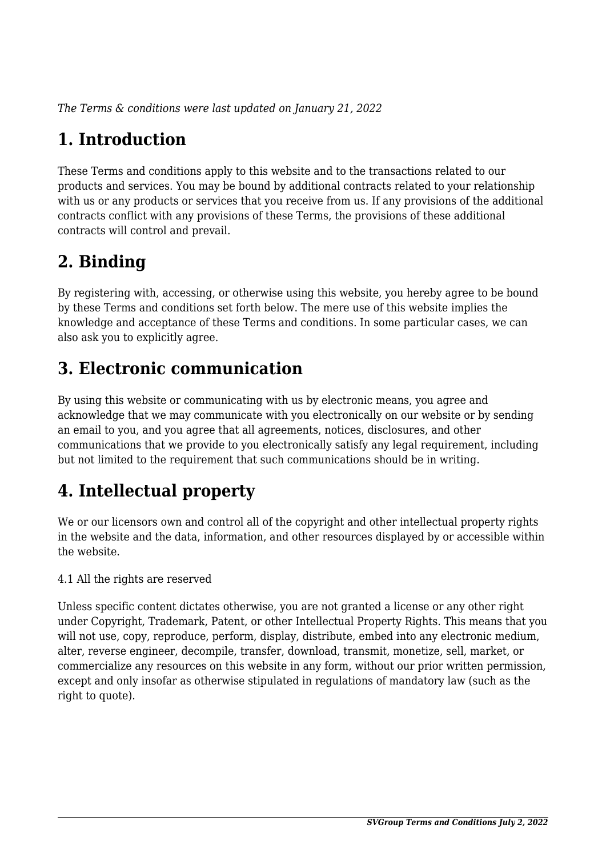*The Terms & conditions were last updated on January 21, 2022*

# **1. Introduction**

These Terms and conditions apply to this website and to the transactions related to our products and services. You may be bound by additional contracts related to your relationship with us or any products or services that you receive from us. If any provisions of the additional contracts conflict with any provisions of these Terms, the provisions of these additional contracts will control and prevail.

## **2. Binding**

By registering with, accessing, or otherwise using this website, you hereby agree to be bound by these Terms and conditions set forth below. The mere use of this website implies the knowledge and acceptance of these Terms and conditions. In some particular cases, we can also ask you to explicitly agree.

# **3. Electronic communication**

By using this website or communicating with us by electronic means, you agree and acknowledge that we may communicate with you electronically on our website or by sending an email to you, and you agree that all agreements, notices, disclosures, and other communications that we provide to you electronically satisfy any legal requirement, including but not limited to the requirement that such communications should be in writing.

# **4. Intellectual property**

We or our licensors own and control all of the copyright and other intellectual property rights in the website and the data, information, and other resources displayed by or accessible within the website.

4.1 All the rights are reserved

Unless specific content dictates otherwise, you are not granted a license or any other right under Copyright, Trademark, Patent, or other Intellectual Property Rights. This means that you will not use, copy, reproduce, perform, display, distribute, embed into any electronic medium, alter, reverse engineer, decompile, transfer, download, transmit, monetize, sell, market, or commercialize any resources on this website in any form, without our prior written permission, except and only insofar as otherwise stipulated in regulations of mandatory law (such as the right to quote).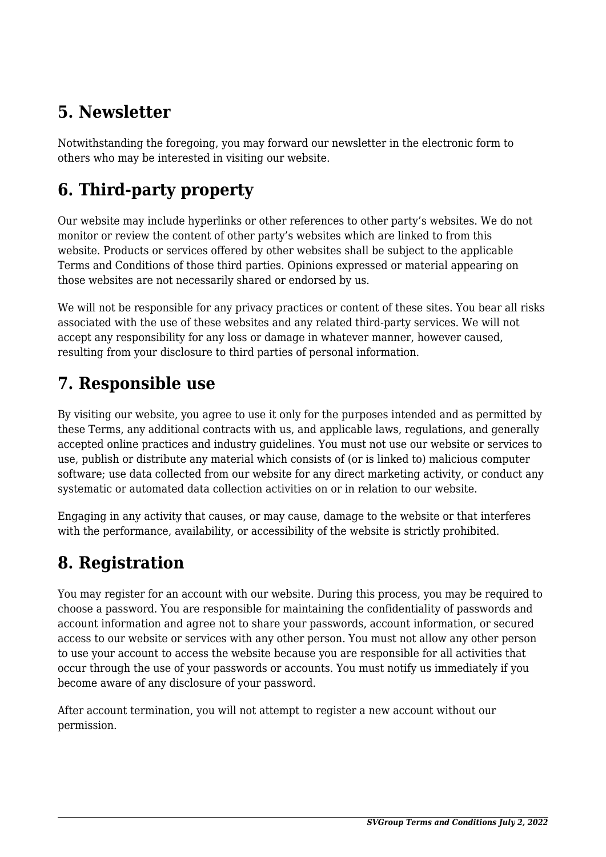## **5. Newsletter**

Notwithstanding the foregoing, you may forward our newsletter in the electronic form to others who may be interested in visiting our website.

# **6. Third-party property**

Our website may include hyperlinks or other references to other party's websites. We do not monitor or review the content of other party's websites which are linked to from this website. Products or services offered by other websites shall be subject to the applicable Terms and Conditions of those third parties. Opinions expressed or material appearing on those websites are not necessarily shared or endorsed by us.

We will not be responsible for any privacy practices or content of these sites. You bear all risks associated with the use of these websites and any related third-party services. We will not accept any responsibility for any loss or damage in whatever manner, however caused, resulting from your disclosure to third parties of personal information.

#### **7. Responsible use**

By visiting our website, you agree to use it only for the purposes intended and as permitted by these Terms, any additional contracts with us, and applicable laws, regulations, and generally accepted online practices and industry guidelines. You must not use our website or services to use, publish or distribute any material which consists of (or is linked to) malicious computer software; use data collected from our website for any direct marketing activity, or conduct any systematic or automated data collection activities on or in relation to our website.

Engaging in any activity that causes, or may cause, damage to the website or that interferes with the performance, availability, or accessibility of the website is strictly prohibited.

## **8. Registration**

You may register for an account with our website. During this process, you may be required to choose a password. You are responsible for maintaining the confidentiality of passwords and account information and agree not to share your passwords, account information, or secured access to our website or services with any other person. You must not allow any other person to use your account to access the website because you are responsible for all activities that occur through the use of your passwords or accounts. You must notify us immediately if you become aware of any disclosure of your password.

After account termination, you will not attempt to register a new account without our permission.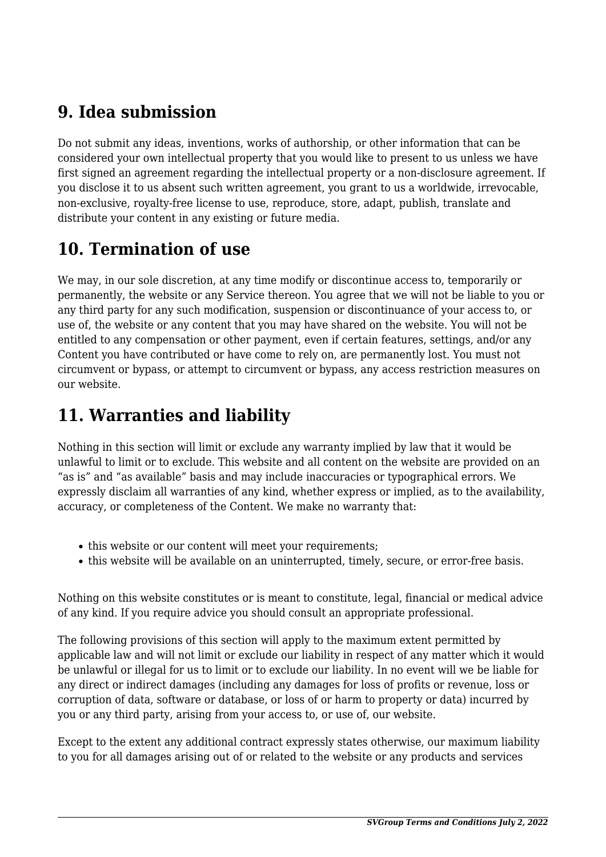#### **9. Idea submission**

Do not submit any ideas, inventions, works of authorship, or other information that can be considered your own intellectual property that you would like to present to us unless we have first signed an agreement regarding the intellectual property or a non-disclosure agreement. If you disclose it to us absent such written agreement, you grant to us a worldwide, irrevocable, non-exclusive, royalty-free license to use, reproduce, store, adapt, publish, translate and distribute your content in any existing or future media.

## **10. Termination of use**

We may, in our sole discretion, at any time modify or discontinue access to, temporarily or permanently, the website or any Service thereon. You agree that we will not be liable to you or any third party for any such modification, suspension or discontinuance of your access to, or use of, the website or any content that you may have shared on the website. You will not be entitled to any compensation or other payment, even if certain features, settings, and/or any Content you have contributed or have come to rely on, are permanently lost. You must not circumvent or bypass, or attempt to circumvent or bypass, any access restriction measures on our website.

## **11. Warranties and liability**

Nothing in this section will limit or exclude any warranty implied by law that it would be unlawful to limit or to exclude. This website and all content on the website are provided on an "as is" and "as available" basis and may include inaccuracies or typographical errors. We expressly disclaim all warranties of any kind, whether express or implied, as to the availability, accuracy, or completeness of the Content. We make no warranty that:

- this website or our content will meet your requirements;
- this website will be available on an uninterrupted, timely, secure, or error-free basis.

Nothing on this website constitutes or is meant to constitute, legal, financial or medical advice of any kind. If you require advice you should consult an appropriate professional.

The following provisions of this section will apply to the maximum extent permitted by applicable law and will not limit or exclude our liability in respect of any matter which it would be unlawful or illegal for us to limit or to exclude our liability. In no event will we be liable for any direct or indirect damages (including any damages for loss of profits or revenue, loss or corruption of data, software or database, or loss of or harm to property or data) incurred by you or any third party, arising from your access to, or use of, our website.

Except to the extent any additional contract expressly states otherwise, our maximum liability to you for all damages arising out of or related to the website or any products and services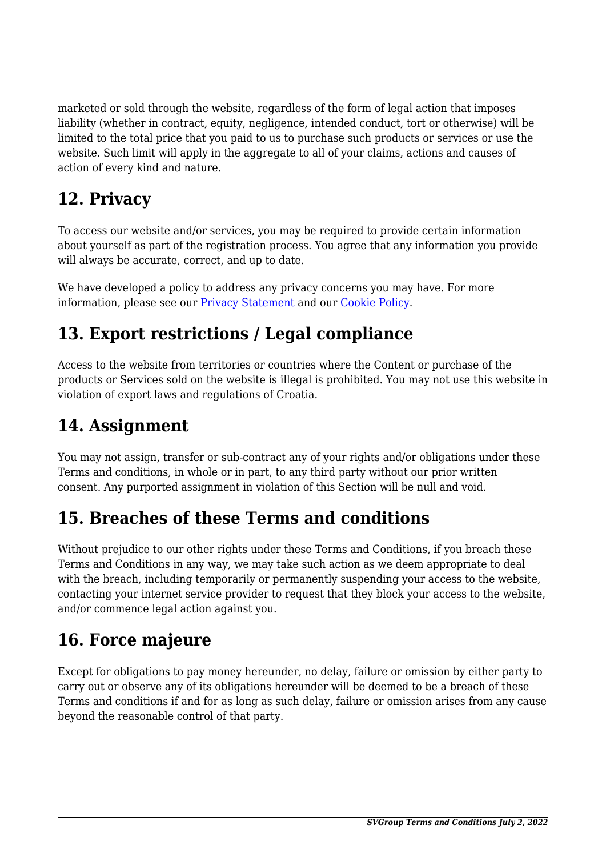marketed or sold through the website, regardless of the form of legal action that imposes liability (whether in contract, equity, negligence, intended conduct, tort or otherwise) will be limited to the total price that you paid to us to purchase such products or services or use the website. Such limit will apply in the aggregate to all of your claims, actions and causes of action of every kind and nature.

## **12. Privacy**

To access our website and/or services, you may be required to provide certain information about yourself as part of the registration process. You agree that any information you provide will always be accurate, correct, and up to date.

We have developed a policy to address any privacy concerns you may have. For more information, please see our [Privacy Statement](#page--1-0) and our [Cookie Policy](#page--1-0).

# **13. Export restrictions / Legal compliance**

Access to the website from territories or countries where the Content or purchase of the products or Services sold on the website is illegal is prohibited. You may not use this website in violation of export laws and regulations of Croatia.

## **14. Assignment**

You may not assign, transfer or sub-contract any of your rights and/or obligations under these Terms and conditions, in whole or in part, to any third party without our prior written consent. Any purported assignment in violation of this Section will be null and void.

## **15. Breaches of these Terms and conditions**

Without prejudice to our other rights under these Terms and Conditions, if you breach these Terms and Conditions in any way, we may take such action as we deem appropriate to deal with the breach, including temporarily or permanently suspending your access to the website, contacting your internet service provider to request that they block your access to the website, and/or commence legal action against you.

## **16. Force majeure**

Except for obligations to pay money hereunder, no delay, failure or omission by either party to carry out or observe any of its obligations hereunder will be deemed to be a breach of these Terms and conditions if and for as long as such delay, failure or omission arises from any cause beyond the reasonable control of that party.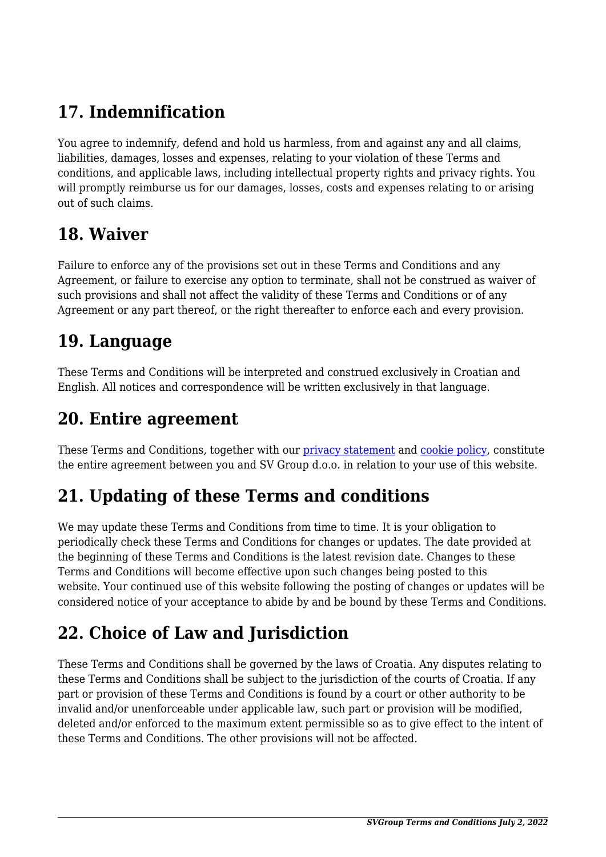# **17. Indemnification**

You agree to indemnify, defend and hold us harmless, from and against any and all claims, liabilities, damages, losses and expenses, relating to your violation of these Terms and conditions, and applicable laws, including intellectual property rights and privacy rights. You will promptly reimburse us for our damages, losses, costs and expenses relating to or arising out of such claims.

#### **18. Waiver**

Failure to enforce any of the provisions set out in these Terms and Conditions and any Agreement, or failure to exercise any option to terminate, shall not be construed as waiver of such provisions and shall not affect the validity of these Terms and Conditions or of any Agreement or any part thereof, or the right thereafter to enforce each and every provision.

#### **19. Language**

These Terms and Conditions will be interpreted and construed exclusively in Croatian and English. All notices and correspondence will be written exclusively in that language.

#### **20. Entire agreement**

These Terms and Conditions, together with our *[privacy statement](#page--1-0)* and *cookie policy*, constitute the entire agreement between you and SV Group d.o.o. in relation to your use of this website.

# **21. Updating of these Terms and conditions**

We may update these Terms and Conditions from time to time. It is your obligation to periodically check these Terms and Conditions for changes or updates. The date provided at the beginning of these Terms and Conditions is the latest revision date. Changes to these Terms and Conditions will become effective upon such changes being posted to this website. Your continued use of this website following the posting of changes or updates will be considered notice of your acceptance to abide by and be bound by these Terms and Conditions.

# **22. Choice of Law and Jurisdiction**

These Terms and Conditions shall be governed by the laws of Croatia. Any disputes relating to these Terms and Conditions shall be subject to the jurisdiction of the courts of Croatia. If any part or provision of these Terms and Conditions is found by a court or other authority to be invalid and/or unenforceable under applicable law, such part or provision will be modified, deleted and/or enforced to the maximum extent permissible so as to give effect to the intent of these Terms and Conditions. The other provisions will not be affected.